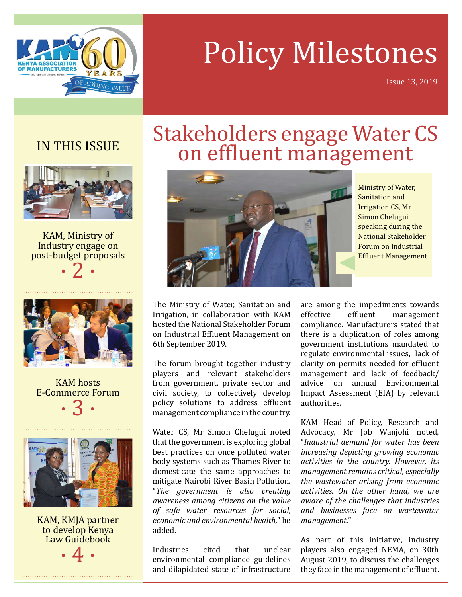

## Policy Milestones

Issue 13, 2019

## IN THIS ISSUE



KAM, Ministry of Industry engage on post-budget proposals





KAM hosts E-Commerce Forum  $\cdot$  3  $\cdot$ 



KAM, KMJA partner to develop Kenya Law Guidebook



# Stakeholders engage Water CS on effluent management



Ministry of Water, Sanitation and Irrigation CS, Mr Simon Chelugui speaking during the National Stakeholder Forum on Industrial Effluent Management

The Ministry of Water, Sanitation and Irrigation, in collaboration with KAM hosted the National Stakeholder Forum on Industrial Effluent Management on 6th September 2019.

The forum brought together industry players and relevant stakeholders from government, private sector and civil society, to collectively develop policy solutions to address effluent management compliance in the country.

Water CS, Mr Simon Chelugui noted that the government is exploring global best practices on once polluted water body systems such as Thames River to domesticate the same approaches to mitigate Nairobi River Basin Pollution. "*The government is also creating awareness among citizens on the value of safe water resources for social, economic and environmental health,*" he added.

Industries cited that unclear environmental compliance guidelines and dilapidated state of infrastructure

are among the impediments towards<br>effective effluent management management compliance. Manufacturers stated that there is a duplication of roles among government institutions mandated to regulate environmental issues, lack of clarity on permits needed for effluent management and lack of feedback/<br>advice on annual Environmental annual Environmental Impact Assessment (EIA) by relevant authorities.

KAM Head of Policy, Research and Advocacy, Mr Job Wanjohi noted, "*Industrial demand for water has been increasing depicting growing economic activities in the country. However, its management remains critical, especially the wastewater arising from economic activities. On the other hand, we are aware of the challenges that industries and businesses face on wastewater management.*"

As part of this initiative, industry players also engaged NEMA, on 30th August 2019, to discuss the challenges they face in the management of effluent.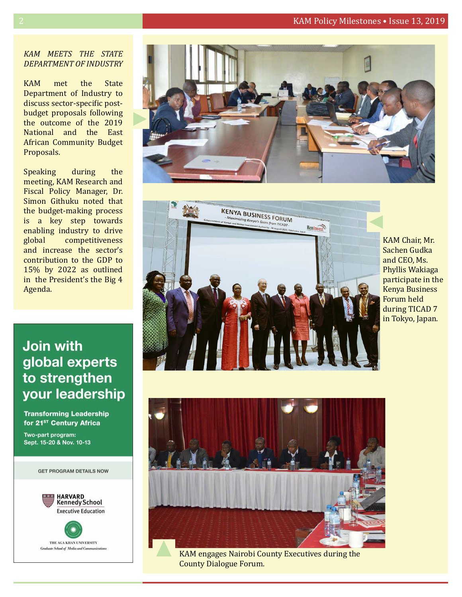#### 2 KAM Policy Milestones • Issue 13, 2019

#### *KAM meets the State Department of Industry*

KAM met the State Department of Industry to discuss sector-specific postbudget proposals following the outcome of the 2019 National and the East African Community Budget Proposals.

Speaking during the meeting, KAM Research and Fiscal Policy Manager, Dr. Simon Githuku noted that the budget-making process is a key step towards enabling industry to drive<br>global competitiveness competitiveness and increase the sector's contribution to the GDP to 15% by 2022 as outlined in the President's the Big 4 Agenda.

## **Join with** global experts to strengthen your leadership

**Transforming Leadership** for 21<sup>st</sup> Century Africa

Two-part program: Sept. 15-20 & Nov. 10-13







KAM Chair, Mr. Sachen Gudka and CEO, Ms. Phyllis Wakiaga participate in the Kenya Business Forum held during TICAD 7 in Tokyo, Japan.



KAM engages Nairobi County Executives during the County Dialogue Forum.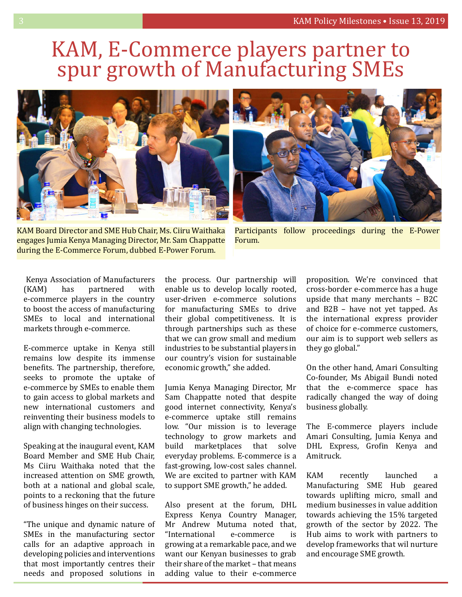## KAM, E-Commerce players partner to spur growth of Manufacturing SMEs





KAM Board Director and SME Hub Chair, Ms. Ciiru Waithaka engages Jumia Kenya Managing Director, Mr. Sam Chappatte during the E-Commerce Forum, dubbed E-Power Forum.

Participants follow proceedings during the E-Power Forum.

Kenya Association of Manufacturers<br>(KAM) has partnered with partnered e-commerce players in the country to boost the access of manufacturing SMEs to local and international markets through e-commerce.

E-commerce uptake in Kenya still remains low despite its immense benefits. The partnership, therefore, seeks to promote the uptake of e-commerce by SMEs to enable them to gain access to global markets and new international customers and reinventing their business models to align with changing technologies.

Speaking at the inaugural event, KAM Board Member and SME Hub Chair, Ms Ciiru Waithaka noted that the increased attention on SME growth, both at a national and global scale, points to a reckoning that the future of business hinges on their success.

"The unique and dynamic nature of SMEs in the manufacturing sector calls for an adaptive approach in developing policies and interventions that most importantly centres their needs and proposed solutions in the process. Our partnership will enable us to develop locally rooted, user-driven e-commerce solutions for manufacturing SMEs to drive their global competitiveness. It is through partnerships such as these that we can grow small and medium industries to be substantial players in our country's vision for sustainable economic growth," she added.

Jumia Kenya Managing Director, Mr Sam Chappatte noted that despite good internet connectivity, Kenya's e-commerce uptake still remains low. "Our mission is to leverage technology to grow markets and<br>build marketplaces that solve marketplaces everyday problems. E-commerce is a fast-growing, low-cost sales channel. We are excited to partner with KAM to support SME growth," he added.

Also present at the forum, DHL Express Kenya Country Manager, Mr Andrew Mutuma noted that,<br>"International e-commerce is "International growing at a remarkable pace, and we want our Kenyan businesses to grab their share of the market – that means adding value to their e-commerce

proposition. We're convinced that cross-border e-commerce has a huge upside that many merchants – B2C and B2B – have not yet tapped. As the international express provider of choice for e-commerce customers, our aim is to support web sellers as they go global."

On the other hand, Amari Consulting Co-founder, Ms Abigail Bundi noted that the e-commerce space has radically changed the way of doing business globally.

The E-commerce players include Amari Consulting, Jumia Kenya and DHL Express, Grofin Kenya and Amitruck.

KAM recently launched a Manufacturing SME Hub geared towards uplifting micro, small and medium businesses in value addition towards achieving the 15% targeted growth of the sector by 2022. The Hub aims to work with partners to develop frameworks that wil nurture and encourage SME growth.